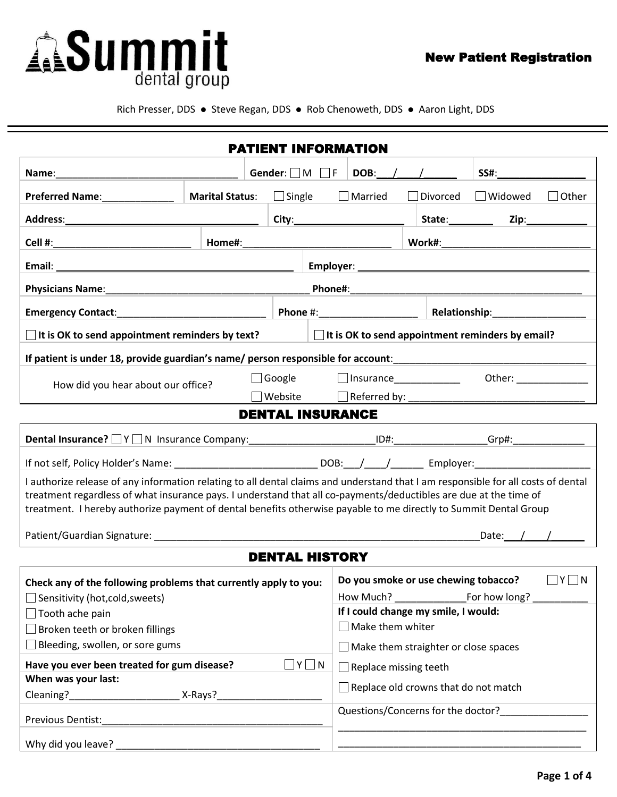

Rich Presser, DDS · Steve Regan, DDS · Rob Chenoweth, DDS · Aaron Light, DDS

|                                                                                                                                                                                                                                                                                                                                                                            |                        | <b>PATIENT INFORMATION</b> |                                                              |                                                                                                                                                                                                                                                                                                  |             |                                                                                                                                                                                                                                |              |  |
|----------------------------------------------------------------------------------------------------------------------------------------------------------------------------------------------------------------------------------------------------------------------------------------------------------------------------------------------------------------------------|------------------------|----------------------------|--------------------------------------------------------------|--------------------------------------------------------------------------------------------------------------------------------------------------------------------------------------------------------------------------------------------------------------------------------------------------|-------------|--------------------------------------------------------------------------------------------------------------------------------------------------------------------------------------------------------------------------------|--------------|--|
|                                                                                                                                                                                                                                                                                                                                                                            |                        |                            | DOB: $/$ /                                                   |                                                                                                                                                                                                                                                                                                  | <b>SS#:</b> |                                                                                                                                                                                                                                |              |  |
| Preferred Name: Name:                                                                                                                                                                                                                                                                                                                                                      | <b>Marital Status:</b> | $\Box$ Single              |                                                              | Married                                                                                                                                                                                                                                                                                          | Divorced    | □ Widowed                                                                                                                                                                                                                      | $\Box$ Other |  |
|                                                                                                                                                                                                                                                                                                                                                                            |                        |                            |                                                              | City: <b>City: City: City: City: City: City: City: City: City: City: City: City: City: City: City: City: City: City: City: City: City: City: City: City: City: City: City:</b>                                                                                                                   |             |                                                                                                                                                                                                                                |              |  |
|                                                                                                                                                                                                                                                                                                                                                                            |                        |                            |                                                              |                                                                                                                                                                                                                                                                                                  |             |                                                                                                                                                                                                                                |              |  |
|                                                                                                                                                                                                                                                                                                                                                                            |                        |                            |                                                              |                                                                                                                                                                                                                                                                                                  |             |                                                                                                                                                                                                                                |              |  |
|                                                                                                                                                                                                                                                                                                                                                                            |                        |                            |                                                              |                                                                                                                                                                                                                                                                                                  |             |                                                                                                                                                                                                                                |              |  |
|                                                                                                                                                                                                                                                                                                                                                                            |                        |                            |                                                              |                                                                                                                                                                                                                                                                                                  |             |                                                                                                                                                                                                                                |              |  |
| <b>Emergency Contact:</b>                                                                                                                                                                                                                                                                                                                                                  |                        |                            | Phone #: ____________________   Relationship: ______________ |                                                                                                                                                                                                                                                                                                  |             |                                                                                                                                                                                                                                |              |  |
| $\Box$ It is OK to send appointment reminders by text?                                                                                                                                                                                                                                                                                                                     |                        |                            |                                                              |                                                                                                                                                                                                                                                                                                  |             | $\Box$ It is OK to send appointment reminders by email?                                                                                                                                                                        |              |  |
| If patient is under 18, provide guardian's name/ person responsible for account:                                                                                                                                                                                                                                                                                           |                        |                            |                                                              |                                                                                                                                                                                                                                                                                                  |             |                                                                                                                                                                                                                                |              |  |
| How did you hear about our office?                                                                                                                                                                                                                                                                                                                                         |                        | $\Box$ Google              |                                                              |                                                                                                                                                                                                                                                                                                  |             |                                                                                                                                                                                                                                |              |  |
|                                                                                                                                                                                                                                                                                                                                                                            |                        | $\Box$ Website             |                                                              |                                                                                                                                                                                                                                                                                                  |             |                                                                                                                                                                                                                                |              |  |
|                                                                                                                                                                                                                                                                                                                                                                            |                        | <b>DENTAL INSURANCE</b>    |                                                              |                                                                                                                                                                                                                                                                                                  |             |                                                                                                                                                                                                                                |              |  |
| Dental Insurance? N Y N Insurance Company: Managamental ID#: No. 104: No. 104: 1974: No. 1074: No. 1074: No. 1                                                                                                                                                                                                                                                             |                        |                            |                                                              |                                                                                                                                                                                                                                                                                                  |             |                                                                                                                                                                                                                                |              |  |
|                                                                                                                                                                                                                                                                                                                                                                            |                        |                            |                                                              |                                                                                                                                                                                                                                                                                                  |             | Employer: North Management of the Second Second Second Second Second Second Second Second Second Second Second Second Second Second Second Second Second Second Second Second Second Second Second Second Second Second Second |              |  |
| I authorize release of any information relating to all dental claims and understand that I am responsible for all costs of dental<br>treatment regardless of what insurance pays. I understand that all co-payments/deductibles are due at the time of<br>treatment. I hereby authorize payment of dental benefits otherwise payable to me directly to Summit Dental Group |                        |                            |                                                              |                                                                                                                                                                                                                                                                                                  |             |                                                                                                                                                                                                                                |              |  |
| Patient/Guardian Signature: National Accounts of the Community of the Community of the Community of the Community of the Community of the Community of the Community of the Community of the Community of the Community of the                                                                                                                                             |                        |                            |                                                              |                                                                                                                                                                                                                                                                                                  |             |                                                                                                                                                                                                                                | Date: / /    |  |
|                                                                                                                                                                                                                                                                                                                                                                            |                        | <b>DENTAL HISTORY</b>      |                                                              |                                                                                                                                                                                                                                                                                                  |             |                                                                                                                                                                                                                                |              |  |
| Check any of the following problems that currently apply to you:<br>$\Box$ Sensitivity (hot, cold, sweets)<br>$\Box$ Tooth ache pain<br>$\Box$ Broken teeth or broken fillings<br>$\Box$ Bleeding, swollen, or sore gums<br>Have you ever been treated for gum disease?<br>$\Box$ Y $\Box$ N<br>When was your last:<br>Cleaning? X-Rays?                                   |                        |                            |                                                              | $\Box$ Y $\Box$ N<br>Do you smoke or use chewing tobacco?<br>If I could change my smile, I would:<br>$\Box$ Make them whiter<br>$\Box$ Make them straighter or close spaces<br>$\Box$ Replace missing teeth<br>$\Box$ Replace old crowns that do not match<br>Questions/Concerns for the doctor? |             |                                                                                                                                                                                                                                |              |  |
| Previous Dentist:                                                                                                                                                                                                                                                                                                                                                          |                        |                            |                                                              |                                                                                                                                                                                                                                                                                                  |             |                                                                                                                                                                                                                                |              |  |
| Why did you leave?                                                                                                                                                                                                                                                                                                                                                         |                        |                            |                                                              |                                                                                                                                                                                                                                                                                                  |             |                                                                                                                                                                                                                                |              |  |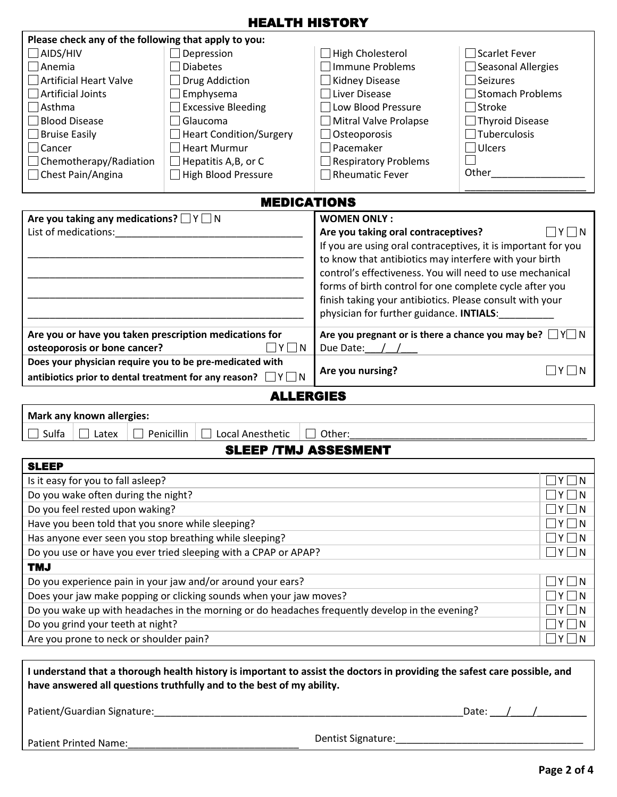## HEALTH HISTORY

| Please check any of the following that apply to you:                                            |                                                                                                                           |                                                                   |                                                       |  |  |  |
|-------------------------------------------------------------------------------------------------|---------------------------------------------------------------------------------------------------------------------------|-------------------------------------------------------------------|-------------------------------------------------------|--|--|--|
| $\Box$ aids/hiv                                                                                 | $\Box$ Depression                                                                                                         | □ High Cholesterol                                                | □ Scarlet Fever                                       |  |  |  |
| Anemia                                                                                          | <b>Diabetes</b>                                                                                                           | Immune Problems                                                   | □ Seasonal Allergies                                  |  |  |  |
| Artificial Heart Valve                                                                          | Drug Addiction                                                                                                            | $\Box$ Kidney Disease                                             | $\Box$ Seizures                                       |  |  |  |
| Artificial Joints                                                                               | Emphysema                                                                                                                 | Liver Disease                                                     | Stomach Problems                                      |  |  |  |
| $\Box$ Asthma                                                                                   | Excessive Bleeding                                                                                                        | $\Box$ Low Blood Pressure                                         | $\Box$ Stroke                                         |  |  |  |
| <b>Blood Disease</b>                                                                            | $\sqcap$ Glaucoma                                                                                                         | Mitral Valve Prolapse                                             | $\Box$ Thyroid Disease                                |  |  |  |
| Bruise Easily                                                                                   | Heart Condition/Surgery                                                                                                   | $\Box$ Osteoporosis                                               | $\Box$ Tuberculosis                                   |  |  |  |
| $\Box$ Cancer                                                                                   | $\Box$ Heart Murmur                                                                                                       | Pacemaker                                                         | $\Box$ Ulcers                                         |  |  |  |
| $\Box$ Chemotherapy/Radiation                                                                   | $\Box$ Hepatitis A, B, or C                                                                                               | Respiratory Problems                                              |                                                       |  |  |  |
| $\Box$ Chest Pain/Angina                                                                        | $\Box$ High Blood Pressure                                                                                                | <b>Rheumatic Fever</b>                                            | Other____                                             |  |  |  |
|                                                                                                 | <b>MEDICATIONS</b>                                                                                                        |                                                                   |                                                       |  |  |  |
| Are you taking any medications? $\Box Y \Box N$                                                 |                                                                                                                           | <b>WOMEN ONLY:</b>                                                |                                                       |  |  |  |
| List of medications:                                                                            |                                                                                                                           | Are you taking oral contraceptives?                               | $\sqcap$ Y $\sqcap$ N                                 |  |  |  |
|                                                                                                 |                                                                                                                           | If you are using oral contraceptives, it is important for you     |                                                       |  |  |  |
|                                                                                                 |                                                                                                                           | to know that antibiotics may interfere with your birth            |                                                       |  |  |  |
|                                                                                                 |                                                                                                                           | control's effectiveness. You will need to use mechanical          |                                                       |  |  |  |
|                                                                                                 |                                                                                                                           | forms of birth control for one complete cycle after you           |                                                       |  |  |  |
|                                                                                                 |                                                                                                                           | finish taking your antibiotics. Please consult with your          |                                                       |  |  |  |
|                                                                                                 |                                                                                                                           | physician for further guidance. INTIALS:                          |                                                       |  |  |  |
| Are you or have you taken prescription medications for                                          |                                                                                                                           | Are you pregnant or is there a chance you may be? $\Box Y \Box N$ |                                                       |  |  |  |
| osteoporosis or bone cancer?                                                                    | $\Box$ Y $\Box$ N                                                                                                         | Due Date:                                                         |                                                       |  |  |  |
| Does your physician require you to be pre-medicated with                                        |                                                                                                                           | Are you nursing?                                                  | $\Box$ Y $\Box$ N                                     |  |  |  |
|                                                                                                 | antibiotics prior to dental treatment for any reason? $\Box Y \Box N$                                                     |                                                                   |                                                       |  |  |  |
|                                                                                                 | <b>ALLERGIES</b>                                                                                                          |                                                                   |                                                       |  |  |  |
| Mark any known allergies:                                                                       |                                                                                                                           |                                                                   |                                                       |  |  |  |
| Sulfa<br>Latex                                                                                  | Penicillin<br>Local Anesthetic                                                                                            | $\Box$ Other:                                                     |                                                       |  |  |  |
|                                                                                                 | <b>SLEEP /TMJ ASSESMENT</b>                                                                                               |                                                                   |                                                       |  |  |  |
| <b>SLEEP</b>                                                                                    |                                                                                                                           |                                                                   |                                                       |  |  |  |
| Is it easy for you to fall asleep?                                                              |                                                                                                                           |                                                                   | $\Box$ Y $\Box$ N                                     |  |  |  |
| Do you wake often during the night?                                                             |                                                                                                                           |                                                                   | $\Box$ Y $\Box$ N                                     |  |  |  |
| Do you feel rested upon waking?                                                                 |                                                                                                                           |                                                                   | $\Box Y \Box N$                                       |  |  |  |
| Have you been told that you snore while sleeping?                                               |                                                                                                                           |                                                                   | $\Box Y \Box N$                                       |  |  |  |
| Has anyone ever seen you stop breathing while sleeping?                                         |                                                                                                                           |                                                                   | $\Box Y \Box N$                                       |  |  |  |
|                                                                                                 | Do you use or have you ever tried sleeping with a CPAP or APAP?                                                           |                                                                   | $\Box Y \Box N$                                       |  |  |  |
| <b>TMJ</b>                                                                                      |                                                                                                                           |                                                                   |                                                       |  |  |  |
|                                                                                                 | Do you experience pain in your jaw and/or around your ears?                                                               |                                                                   | $\Box$ Y $\Box$ N                                     |  |  |  |
| Does your jaw make popping or clicking sounds when your jaw moves?                              |                                                                                                                           |                                                                   |                                                       |  |  |  |
| Do you wake up with headaches in the morning or do headaches frequently develop in the evening? | $\Box Y \Box N$<br>$\Box$ Y $\Box$ N                                                                                      |                                                                   |                                                       |  |  |  |
| Do you grind your teeth at night?                                                               | $\Box$ Y $\Box$ N                                                                                                         |                                                                   |                                                       |  |  |  |
| Are you prone to neck or shoulder pain?                                                         | $\square$ Y $\square$ N                                                                                                   |                                                                   |                                                       |  |  |  |
|                                                                                                 |                                                                                                                           |                                                                   |                                                       |  |  |  |
|                                                                                                 | I understand that a thorough health history is important to assist the doctors in providing the safest care possible, and |                                                                   |                                                       |  |  |  |
|                                                                                                 | have answered all questions truthfully and to the best of my ability.                                                     |                                                                   |                                                       |  |  |  |
|                                                                                                 |                                                                                                                           |                                                                   |                                                       |  |  |  |
|                                                                                                 |                                                                                                                           |                                                                   | Date: $\sqrt{ }$                                      |  |  |  |
|                                                                                                 |                                                                                                                           |                                                                   |                                                       |  |  |  |
| Patient Printed Name:                                                                           |                                                                                                                           | Dentist Signature:                                                | <u> 1980 - Johann John Stone, mars eta biztanleri</u> |  |  |  |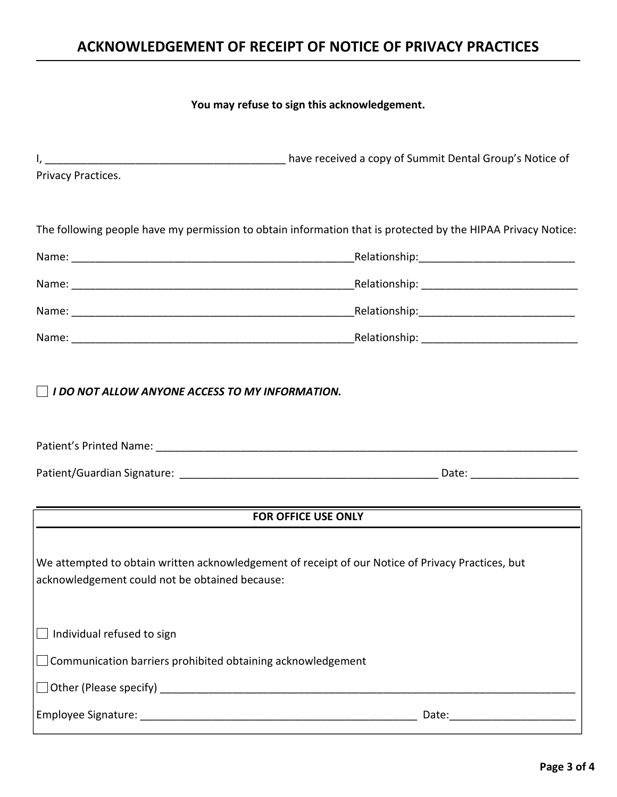# **ACKNOWLEDGEMENT OF RECEIPT OF NOTICE OF PRIVACY PRACTICES**

#### **You may refuse to sign this acknowledgement.**

| Privacy Practices.                                                 |                                                                                                              |
|--------------------------------------------------------------------|--------------------------------------------------------------------------------------------------------------|
|                                                                    | The following people have my permission to obtain information that is protected by the HIPAA Privacy Notice: |
|                                                                    |                                                                                                              |
|                                                                    |                                                                                                              |
|                                                                    |                                                                                                              |
|                                                                    |                                                                                                              |
|                                                                    |                                                                                                              |
|                                                                    | <b>FOR OFFICE USE ONLY</b>                                                                                   |
| acknowledgement could not be obtained because:                     | We attempted to obtain written acknowledgement of receipt of our Notice of Privacy Practices, but            |
| Individual refused to sign                                         |                                                                                                              |
| $\Box$ Communication barriers prohibited obtaining acknowledgement |                                                                                                              |
|                                                                    |                                                                                                              |
|                                                                    |                                                                                                              |